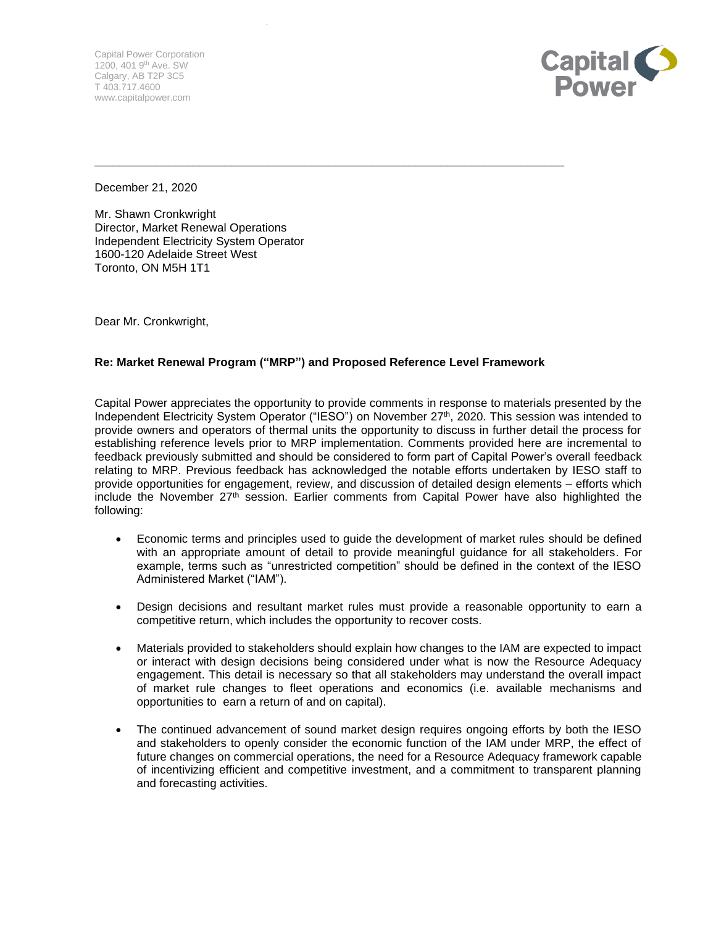Capital Power Corporation 1200, 401 9th Ave. SW Calgary, AB T2P 3C5 T 403.717.4600 www.capitalpower.com



December 21, 2020

Mr. Shawn Cronkwright Director, Market Renewal Operations Independent Electricity System Operator 1600-120 Adelaide Street West Toronto, ON M5H 1T1

Dear Mr. Cronkwright,

## **Re: Market Renewal Program ("MRP") and Proposed Reference Level Framework**

\_\_\_\_\_\_\_\_\_\_\_\_\_\_\_\_\_\_\_\_\_\_\_\_\_\_\_\_\_\_\_\_\_\_\_\_\_\_\_\_\_\_\_\_\_\_\_\_\_\_\_\_\_\_\_\_\_\_\_\_\_\_\_\_\_\_\_\_\_\_\_\_\_\_\_\_

Capital Power appreciates the opportunity to provide comments in response to materials presented by the Independent Electricity System Operator ("IESO") on November 27<sup>th</sup>, 2020. This session was intended to provide owners and operators of thermal units the opportunity to discuss in further detail the process for establishing reference levels prior to MRP implementation. Comments provided here are incremental to feedback previously submitted and should be considered to form part of Capital Power's overall feedback relating to MRP. Previous feedback has acknowledged the notable efforts undertaken by IESO staff to provide opportunities for engagement, review, and discussion of detailed design elements – efforts which include the November  $27<sup>th</sup>$  session. Earlier comments from Capital Power have also highlighted the following:

- Economic terms and principles used to guide the development of market rules should be defined with an appropriate amount of detail to provide meaningful guidance for all stakeholders. For example, terms such as "unrestricted competition" should be defined in the context of the IESO Administered Market ("IAM").
- Design decisions and resultant market rules must provide a reasonable opportunity to earn a competitive return, which includes the opportunity to recover costs.
- Materials provided to stakeholders should explain how changes to the IAM are expected to impact or interact with design decisions being considered under what is now the Resource Adequacy engagement. This detail is necessary so that all stakeholders may understand the overall impact of market rule changes to fleet operations and economics (i.e. available mechanisms and opportunities to earn a return of and on capital).
- The continued advancement of sound market design requires ongoing efforts by both the IESO and stakeholders to openly consider the economic function of the IAM under MRP, the effect of future changes on commercial operations, the need for a Resource Adequacy framework capable of incentivizing efficient and competitive investment, and a commitment to transparent planning and forecasting activities.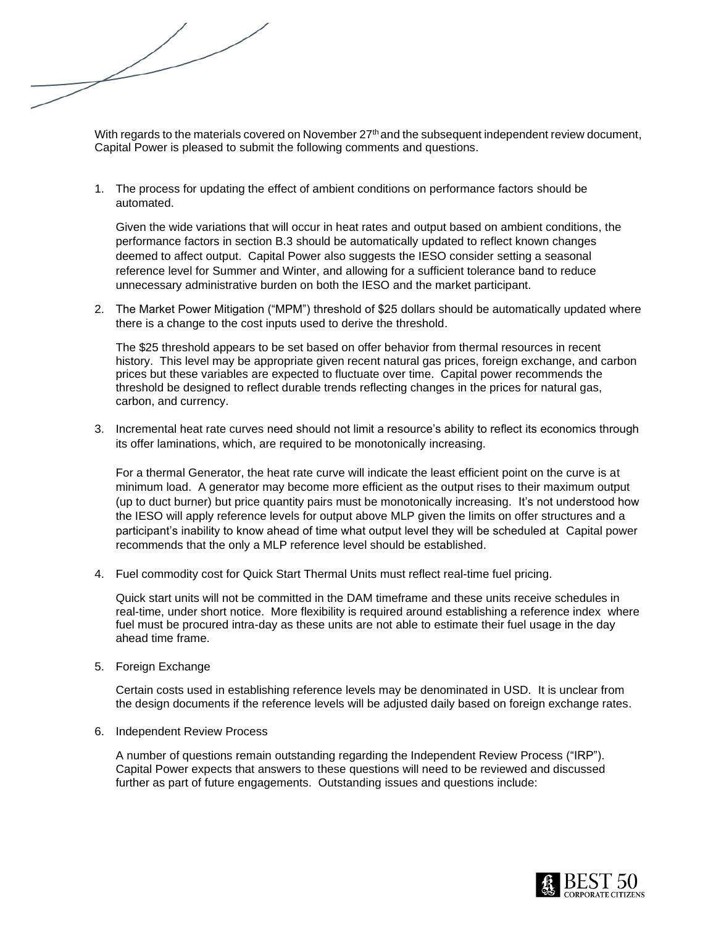With regards to the materials covered on November 27<sup>th</sup> and the subsequent independent review document, Capital Power is pleased to submit the following comments and questions.

1. The process for updating the effect of ambient conditions on performance factors should be automated.

Given the wide variations that will occur in heat rates and output based on ambient conditions, the performance factors in section B.3 should be automatically updated to reflect known changes deemed to affect output. Capital Power also suggests the IESO consider setting a seasonal reference level for Summer and Winter, and allowing for a sufficient tolerance band to reduce unnecessary administrative burden on both the IESO and the market participant.

2. The Market Power Mitigation ("MPM") threshold of \$25 dollars should be automatically updated where there is a change to the cost inputs used to derive the threshold.

The \$25 threshold appears to be set based on offer behavior from thermal resources in recent history. This level may be appropriate given recent natural gas prices, foreign exchange, and carbon prices but these variables are expected to fluctuate over time. Capital power recommends the threshold be designed to reflect durable trends reflecting changes in the prices for natural gas, carbon, and currency.

3. Incremental heat rate curves need should not limit a resource's ability to reflect its economics through its offer laminations, which, are required to be monotonically increasing.

For a thermal Generator, the heat rate curve will indicate the least efficient point on the curve is at minimum load. A generator may become more efficient as the output rises to their maximum output (up to duct burner) but price quantity pairs must be monotonically increasing. It's not understood how the IESO will apply reference levels for output above MLP given the limits on offer structures and a participant's inability to know ahead of time what output level they will be scheduled at Capital power recommends that the only a MLP reference level should be established.

4. Fuel commodity cost for Quick Start Thermal Units must reflect real-time fuel pricing.

Quick start units will not be committed in the DAM timeframe and these units receive schedules in real-time, under short notice. More flexibility is required around establishing a reference index where fuel must be procured intra-day as these units are not able to estimate their fuel usage in the day ahead time frame.

5. Foreign Exchange

Certain costs used in establishing reference levels may be denominated in USD. It is unclear from the design documents if the reference levels will be adjusted daily based on foreign exchange rates.

6. Independent Review Process

A number of questions remain outstanding regarding the Independent Review Process ("IRP"). Capital Power expects that answers to these questions will need to be reviewed and discussed further as part of future engagements. Outstanding issues and questions include: